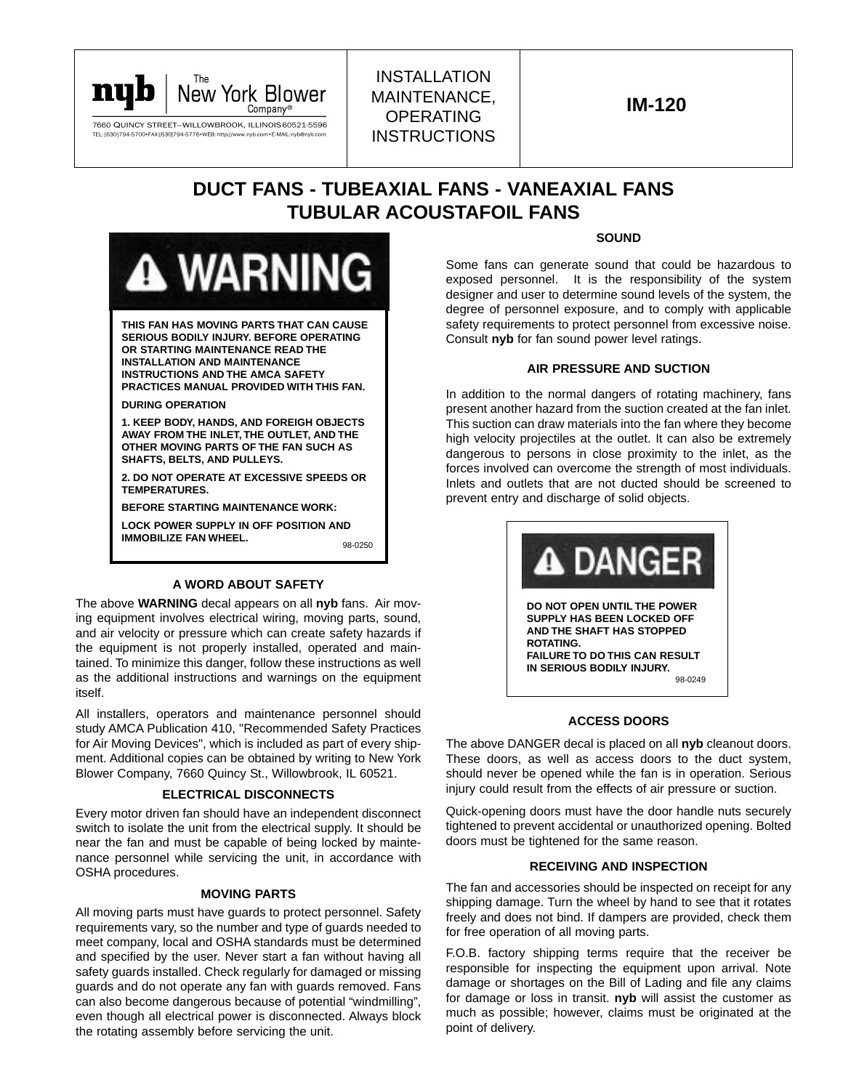

# INSTALLATION MAINTENANCE, OPERATING **INSTRUCTIONS**

# **DUCT FANS - TUBEAXIAL FANS - VANEAXIAL FANS TUBULAR ACOUSTAFOIL FANS**



**THIS FAN HAS MOVING PARTS THAT CAN CAUSE SERIOUS BODILY INJURY. BEFORE OPERATING OR STARTING MAINTENANCE READ THE INSTALLATION AND MAINTENANCE INSTRUCTIONS AND THE AMCA SAFETY PRACTICES MANUAL PROVIDED WITH THIS FAN.**

#### **DURING OPERATION**

**1. KEEP BODY, HANDS, AND FOREIGH OBJECTS AWAY FROM THE INLET, THE OUTLET, AND THE OTHER MOVING PARTS OF THE FAN SUCH AS SHAFTS, BELTS, AND PULLEYS.**

**2. DO NOT OPERATE AT EXCESSIVE SPEEDS OR TEMPERATURES.**

**BEFORE STARTING MAINTENANCE WORK:**

**LOCK POWER SUPPLY IN OFF POSITION AND IMMOBILIZE FAN WHEEL.** 98-0250

#### **A WORD ABOUT SAFETY**

The above **WARNING** decal appears on all **nyb** fans. Air moving equipment involves electrical wiring, moving parts, sound, and air velocity or pressure which can create safety hazards if the equipment is not properly installed, operated and maintained. To minimize this danger, follow these instructions as well as the additional instructions and warnings on the equipment itself.

All installers, operators and maintenance personnel should study AMCA Publication 410, "Recommended Safety Practices for Air Moving Devices", which is included as part of every shipment. Additional copies can be obtained by writing to New York Blower Company, 7660 Quincy St., Willowbrook, IL 60521.

#### **ELECTRICAL DISCONNECTS**

Every motor driven fan should have an independent disconnect switch to isolate the unit from the electrical supply. It should be near the fan and must be capable of being locked by maintenance personnel while servicing the unit, in accordance with OSHA procedures.

#### **MOVING PARTS**

All moving parts must have guards to protect personnel. Safety requirements vary, so the number and type of guards needed to meet company, local and OSHA standards must be determined and specified by the user. Never start a fan without having all safety guards installed. Check regularly for damaged or missing guards and do not operate any fan with guards removed. Fans can also become dangerous because of potential "windmilling", even though all electrical power is disconnected. Always block the rotating assembly before servicing the unit.

#### **SOUND**

Some fans can generate sound that could be hazardous to exposed personnel. It is the responsibility of the system designer and user to determine sound levels of the system, the degree of personnel exposure, and to comply with applicable safety requirements to protect personnel from excessive noise. Consult **nyb** for fan sound power level ratings.

#### **AIR PRESSURE AND SUCTION**

In addition to the normal dangers of rotating machinery, fans present another hazard from the suction created at the fan inlet. This suction can draw materials into the fan where they become high velocity projectiles at the outlet. It can also be extremely dangerous to persons in close proximity to the inlet, as the forces involved can overcome the strength of most individuals. Inlets and outlets that are not ducted should be screened to prevent entry and discharge of solid objects.



# **ACCESS DOORS**

The above DANGER decal is placed on all **nyb** cleanout doors. These doors, as well as access doors to the duct system, should never be opened while the fan is in operation. Serious injury could result from the effects of air pressure or suction.

Quick-opening doors must have the door handle nuts securely tightened to prevent accidental or unauthorized opening. Bolted doors must be tightened for the same reason.

#### **RECEIVING AND INSPECTION**

The fan and accessories should be inspected on receipt for any shipping damage. Turn the wheel by hand to see that it rotates freely and does not bind. If dampers are provided, check them for free operation of all moving parts.

F.O.B. factory shipping terms require that the receiver be responsible for inspecting the equipment upon arrival. Note damage or shortages on the Bill of Lading and file any claims for damage or loss in transit. **nyb** will assist the customer as much as possible; however, claims must be originated at the point of delivery.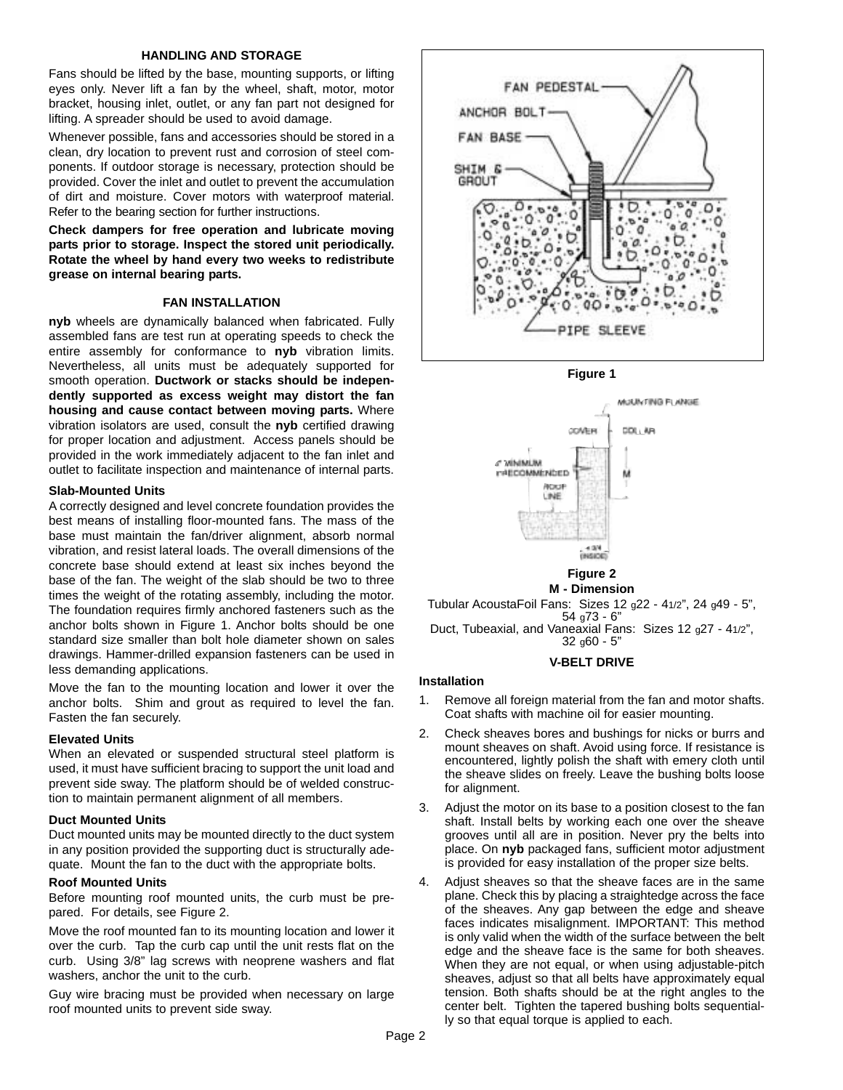#### **HANDLING AND STORAGE**

Fans should be lifted by the base, mounting supports, or lifting eyes only. Never lift a fan by the wheel, shaft, motor, motor bracket, housing inlet, outlet, or any fan part not designed for lifting. A spreader should be used to avoid damage.

Whenever possible, fans and accessories should be stored in a clean, dry location to prevent rust and corrosion of steel components. If outdoor storage is necessary, protection should be provided. Cover the inlet and outlet to prevent the accumulation of dirt and moisture. Cover motors with waterproof material. Refer to the bearing section for further instructions.

**Check dampers for free operation and lubricate moving parts prior to storage. Inspect the stored unit periodically. Rotate the wheel by hand every two weeks to redistribute grease on internal bearing parts.**

# **FAN INSTALLATION**

**nyb** wheels are dynamically balanced when fabricated. Fully assembled fans are test run at operating speeds to check the entire assembly for conformance to **nyb** vibration limits. Nevertheless, all units must be adequately supported for smooth operation. **Ductwork or stacks should be independently supported as excess weight may distort the fan housing and cause contact between moving parts.** Where vibration isolators are used, consult the **nyb** certified drawing for proper location and adjustment. Access panels should be provided in the work immediately adjacent to the fan inlet and outlet to facilitate inspection and maintenance of internal parts.

#### **Slab-Mounted Units**

A correctly designed and level concrete foundation provides the best means of installing floor-mounted fans. The mass of the base must maintain the fan/driver alignment, absorb normal vibration, and resist lateral loads. The overall dimensions of the concrete base should extend at least six inches beyond the base of the fan. The weight of the slab should be two to three times the weight of the rotating assembly, including the motor. The foundation requires firmly anchored fasteners such as the anchor bolts shown in Figure 1. Anchor bolts should be one standard size smaller than bolt hole diameter shown on sales drawings. Hammer-drilled expansion fasteners can be used in less demanding applications.

Move the fan to the mounting location and lower it over the anchor bolts. Shim and grout as required to level the fan. Fasten the fan securely.

## **Elevated Units**

When an elevated or suspended structural steel platform is used, it must have sufficient bracing to support the unit load and prevent side sway. The platform should be of welded construction to maintain permanent alignment of all members.

#### **Duct Mounted Units**

Duct mounted units may be mounted directly to the duct system in any position provided the supporting duct is structurally adequate. Mount the fan to the duct with the appropriate bolts.

# **Roof Mounted Units**

Before mounting roof mounted units, the curb must be prepared. For details, see Figure 2.

Move the roof mounted fan to its mounting location and lower it over the curb. Tap the curb cap until the unit rests flat on the curb. Using 3/8" lag screws with neoprene washers and flat washers, anchor the unit to the curb.

Guy wire bracing must be provided when necessary on large roof mounted units to prevent side sway.



**Figure 1**



Tubular AcoustaFoil Fans: Sizes 12  $q22 - 41/2$ ", 24  $q49 - 5$ ", 54 g73 - 6" Duct, Tubeaxial, and Vaneaxial Fans: Sizes 12 q27 - 41/2", 32 g60 - 5"

## **V-BELT DRIVE**

# **Installation**

- 1. Remove all foreign material from the fan and motor shafts. Coat shafts with machine oil for easier mounting.
- 2. Check sheaves bores and bushings for nicks or burrs and mount sheaves on shaft. Avoid using force. If resistance is encountered, lightly polish the shaft with emery cloth until the sheave slides on freely. Leave the bushing bolts loose for alignment.
- 3. Adjust the motor on its base to a position closest to the fan shaft. Install belts by working each one over the sheave grooves until all are in position. Never pry the belts into place. On **nyb** packaged fans, sufficient motor adjustment is provided for easy installation of the proper size belts.
- 4. Adjust sheaves so that the sheave faces are in the same plane. Check this by placing a straightedge across the face of the sheaves. Any gap between the edge and sheave faces indicates misalignment. IMPORTANT: This method is only valid when the width of the surface between the belt edge and the sheave face is the same for both sheaves. When they are not equal, or when using adjustable-pitch sheaves, adjust so that all belts have approximately equal tension. Both shafts should be at the right angles to the center belt. Tighten the tapered bushing bolts sequentially so that equal torque is applied to each.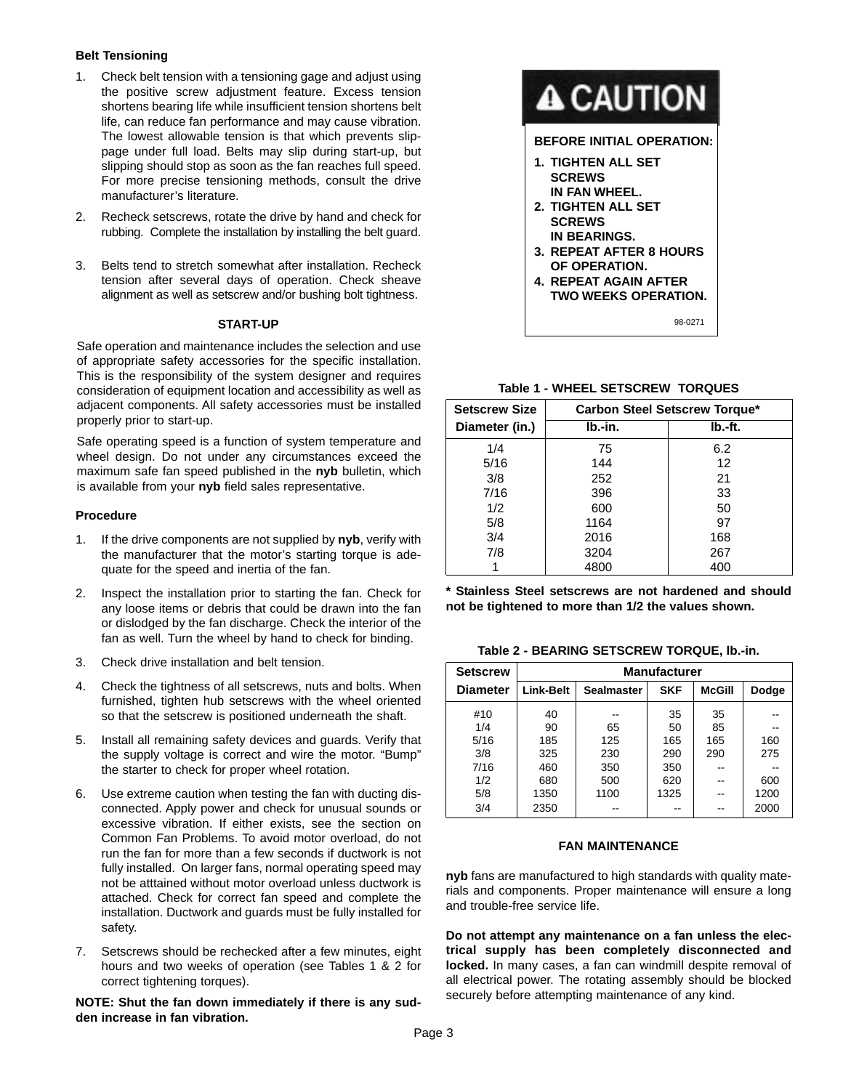# **Belt Tensioning**

- 1. Check belt tension with a tensioning gage and adjust using the positive screw adjustment feature. Excess tension shortens bearing life while insufficient tension shortens belt life, can reduce fan performance and may cause vibration. The lowest allowable tension is that which prevents slippage under full load. Belts may slip during start-up, but slipping should stop as soon as the fan reaches full speed. For more precise tensioning methods, consult the drive manufacturer's literature.
- 2. Recheck setscrews, rotate the drive by hand and check for rubbing. Complete the installation by installing the belt guard.
- 3. Belts tend to stretch somewhat after installation. Recheck tension after several days of operation. Check sheave alignment as well as setscrew and/or bushing bolt tightness.

#### **START-UP**

Safe operation and maintenance includes the selection and use of appropriate safety accessories for the specific installation. This is the responsibility of the system designer and requires consideration of equipment location and accessibility as well as adjacent components. All safety accessories must be installed properly prior to start-up.

Safe operating speed is a function of system temperature and wheel design. Do not under any circumstances exceed the maximum safe fan speed published in the **nyb** bulletin, which is available from your **nyb** field sales representative.

## **Procedure**

- 1. If the drive components are not supplied by **nyb**, verify with the manufacturer that the motor's starting torque is adequate for the speed and inertia of the fan.
- 2. Inspect the installation prior to starting the fan. Check for any loose items or debris that could be drawn into the fan or dislodged by the fan discharge. Check the interior of the fan as well. Turn the wheel by hand to check for binding.
- 3. Check drive installation and belt tension.
- 4. Check the tightness of all setscrews, nuts and bolts. When furnished, tighten hub setscrews with the wheel oriented so that the setscrew is positioned underneath the shaft.
- 5. Install all remaining safety devices and guards. Verify that the supply voltage is correct and wire the motor. "Bump" the starter to check for proper wheel rotation.
- 6. Use extreme caution when testing the fan with ducting disconnected. Apply power and check for unusual sounds or excessive vibration. If either exists, see the section on Common Fan Problems. To avoid motor overload, do not run the fan for more than a few seconds if ductwork is not fully installed. On larger fans, normal operating speed may not be atttained without motor overload unless ductwork is attached. Check for correct fan speed and complete the installation. Ductwork and guards must be fully installed for safety.
- 7. Setscrews should be rechecked after a few minutes, eight hours and two weeks of operation (see Tables 1 & 2 for correct tightening torques).

**NOTE: Shut the fan down immediately if there is any sudden increase in fan vibration.**



# **Table 1 - WHEEL SETSCREW TORQUES**

| <b>Setscrew Size</b> | <b>Carbon Steel Setscrew Torque*</b> |         |  |  |
|----------------------|--------------------------------------|---------|--|--|
| Diameter (in.)       | lb.-in.                              | lb.-ft. |  |  |
| 1/4                  | 75                                   | 6.2     |  |  |
| 5/16                 | 144                                  | 12      |  |  |
| 3/8                  | 252                                  | 21      |  |  |
| 7/16                 | 396                                  | 33      |  |  |
| 1/2                  | 600                                  | 50      |  |  |
| 5/8                  | 1164                                 | 97      |  |  |
| 3/4                  | 2016                                 | 168     |  |  |
| 7/8                  | 3204                                 | 267     |  |  |
|                      | 4800                                 | 400     |  |  |

**\* Stainless Steel setscrews are not hardened and should not be tightened to more than 1/2 the values shown.**

| Table 2 - BEARING SETSCREW TORQUE, Ib.-in. |  |  |  |
|--------------------------------------------|--|--|--|
|--------------------------------------------|--|--|--|

| <b>Setscrew</b> | <b>Manufacturer</b> |                   |            |               |       |  |  |
|-----------------|---------------------|-------------------|------------|---------------|-------|--|--|
| <b>Diameter</b> | <b>Link-Belt</b>    | <b>Sealmaster</b> | <b>SKF</b> | <b>McGill</b> | Dodge |  |  |
| #10             | 40                  |                   | 35         | 35            |       |  |  |
| 1/4             | 90                  | 65                | 50         | 85            |       |  |  |
| 5/16            | 185                 | 125               | 165        | 165           | 160   |  |  |
| 3/8             | 325                 | 230               | 290        | 290           | 275   |  |  |
| 7/16            | 460                 | 350               | 350        |               |       |  |  |
| 1/2             | 680                 | 500               | 620        |               | 600   |  |  |
| 5/8             | 1350                | 1100              | 1325       |               | 1200  |  |  |
| 3/4             | 2350                |                   |            |               | 2000  |  |  |

#### **FAN MAINTENANCE**

**nyb** fans are manufactured to high standards with quality materials and components. Proper maintenance will ensure a long and trouble-free service life.

**Do not attempt any maintenance on a fan unless the electrical supply has been completely disconnected and locked.** In many cases, a fan can windmill despite removal of all electrical power. The rotating assembly should be blocked securely before attempting maintenance of any kind.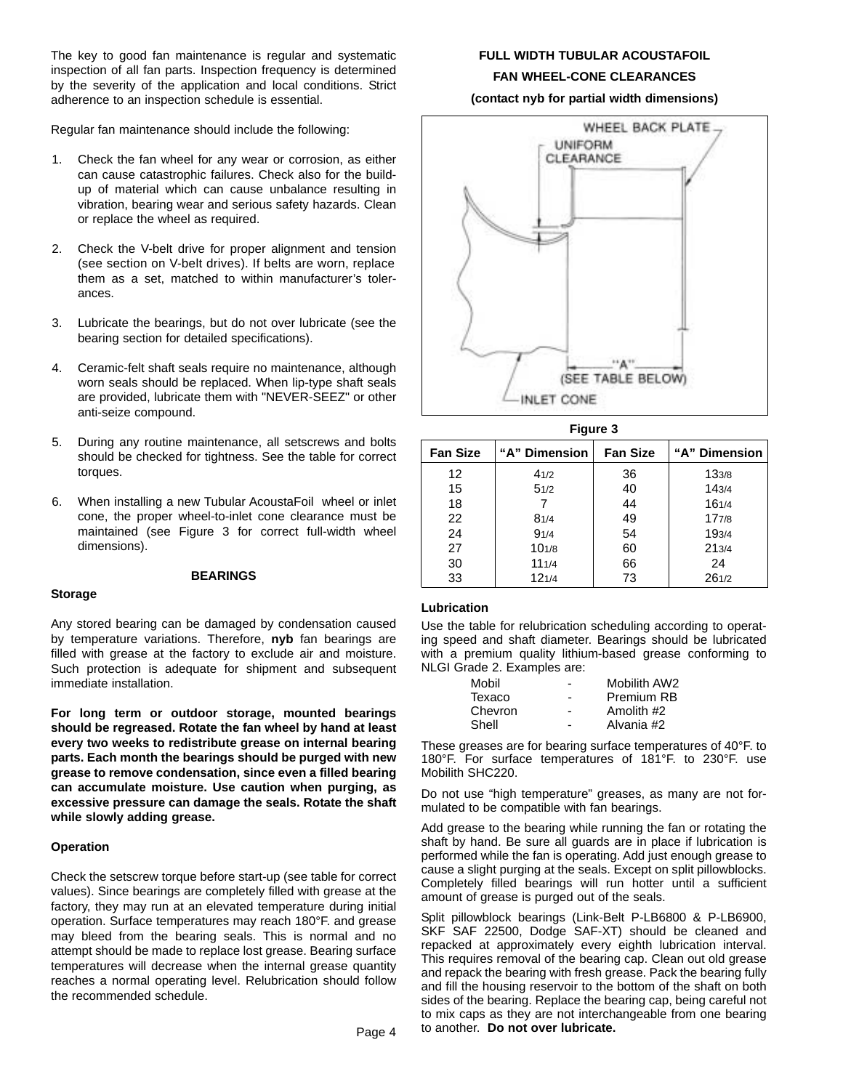The key to good fan maintenance is regular and systematic inspection of all fan parts. Inspection frequency is determined by the severity of the application and local conditions. Strict adherence to an inspection schedule is essential.

Regular fan maintenance should include the following:

- 1. Check the fan wheel for any wear or corrosion, as either can cause catastrophic failures. Check also for the buildup of material which can cause unbalance resulting in vibration, bearing wear and serious safety hazards. Clean or replace the wheel as required.
- 2. Check the V-belt drive for proper alignment and tension (see section on V-belt drives). If belts are worn, replace them as a set, matched to within manufacturer's tolerances.
- 3. Lubricate the bearings, but do not over lubricate (see the bearing section for detailed specifications).
- 4. Ceramic-felt shaft seals require no maintenance, although worn seals should be replaced. When lip-type shaft seals are provided, lubricate them with "NEVER-SEEZ" or other anti-seize compound.
- 5. During any routine maintenance, all setscrews and bolts should be checked for tightness. See the table for correct torques.
- 6. When installing a new Tubular AcoustaFoil wheel or inlet cone, the proper wheel-to-inlet cone clearance must be maintained (see Figure 3 for correct full-width wheel dimensions).

# **BEARINGS**

## **Storage**

Any stored bearing can be damaged by condensation caused by temperature variations. Therefore, **nyb** fan bearings are filled with grease at the factory to exclude air and moisture. Such protection is adequate for shipment and subsequent immediate installation.

**For long term or outdoor storage, mounted bearings should be regreased. Rotate the fan wheel by hand at least every two weeks to redistribute grease on internal bearing parts. Each month the bearings should be purged with new grease to remove condensation, since even a filled bearing can accumulate moisture. Use caution when purging, as excessive pressure can damage the seals. Rotate the shaft while slowly adding grease.**

## **Operation**

Check the setscrew torque before start-up (see table for correct values). Since bearings are completely filled with grease at the factory, they may run at an elevated temperature during initial operation. Surface temperatures may reach 180°F. and grease may bleed from the bearing seals. This is normal and no attempt should be made to replace lost grease. Bearing surface temperatures will decrease when the internal grease quantity reaches a normal operating level. Relubrication should follow the recommended schedule.

# **FULL WIDTH TUBULAR ACOUSTAFOIL FAN WHEEL-CONE CLEARANCES**

**(contact nyb for partial width dimensions)**



**Figure 3**

| .               |               |    |               |  |  |  |  |  |
|-----------------|---------------|----|---------------|--|--|--|--|--|
| <b>Fan Size</b> | "A" Dimension |    | "A" Dimension |  |  |  |  |  |
| 12              | 41/2          | 36 | 133/8         |  |  |  |  |  |
| 15              | 51/2          | 40 | 143/4         |  |  |  |  |  |
| 18              |               | 44 | 161/4         |  |  |  |  |  |
| 22              | 81/4          | 49 | 177/8         |  |  |  |  |  |
| 24              | 91/4          | 54 | 193/4         |  |  |  |  |  |
| 27              | 101/8         | 60 | 213/4         |  |  |  |  |  |
| 30              | 111/4         | 66 | 24            |  |  |  |  |  |
| 33              | 121/4         | 73 | 261/2         |  |  |  |  |  |

#### **Lubrication**

Use the table for relubrication scheduling according to operating speed and shaft diameter. Bearings should be lubricated with a premium quality lithium-based grease conforming to NLGI Grade 2. Examples are:

| Mobil   |   | Mobilith AW2 |
|---------|---|--------------|
| Texaco  | - | Premium RB   |
| Chevron | - | Amolith #2   |
| Shell   |   | Alvania #2   |

These greases are for bearing surface temperatures of 40°F. to 180°F. For surface temperatures of 181°F. to 230°F. use Mobilith SHC220.

Do not use "high temperature" greases, as many are not formulated to be compatible with fan bearings.

Add grease to the bearing while running the fan or rotating the shaft by hand. Be sure all guards are in place if lubrication is performed while the fan is operating. Add just enough grease to cause a slight purging at the seals. Except on split pillowblocks. Completely filled bearings will run hotter until a sufficient amount of grease is purged out of the seals.

Split pillowblock bearings (Link-Belt P-LB6800 & P-LB6900, SKF SAF 22500, Dodge SAF-XT) should be cleaned and repacked at approximately every eighth lubrication interval. This requires removal of the bearing cap. Clean out old grease and repack the bearing with fresh grease. Pack the bearing fully and fill the housing reservoir to the bottom of the shaft on both sides of the bearing. Replace the bearing cap, being careful not to mix caps as they are not interchangeable from one bearing Page 4 to another. Do not over lubricate.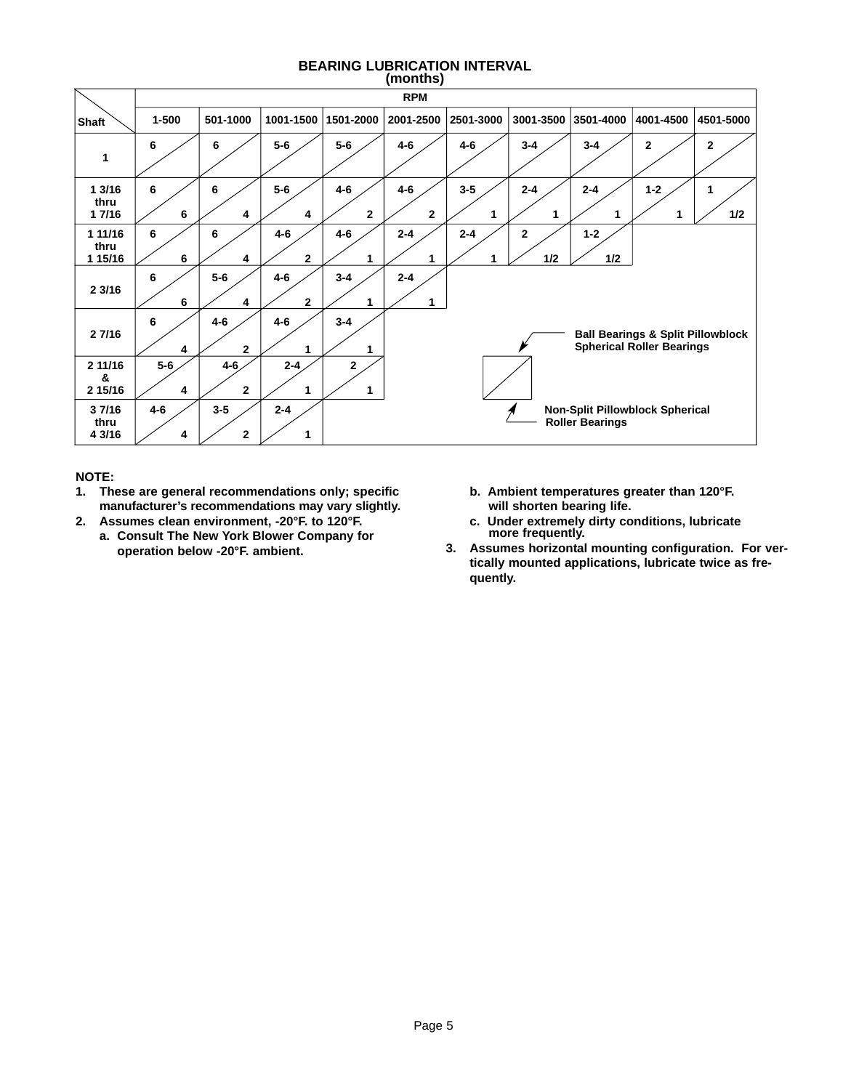#### **BEARING LUBRICATION INTERVAL (months)**

|                            |              | `<br>.,<br><b>RPM</b>     |                         |                         |                         |              |                     |                        |                                                                                  |           |
|----------------------------|--------------|---------------------------|-------------------------|-------------------------|-------------------------|--------------|---------------------|------------------------|----------------------------------------------------------------------------------|-----------|
| <b>Shaft</b>               | $1 - 500$    | 501-1000                  | 1001-1500               | 1501-2000               | 2001-2500               | 2501-3000    | 3001-3500           | 3501-4000              | 4001-4500                                                                        | 4501-5000 |
| 1                          | 6            | 6                         | $5-6$                   | $5-6$                   | $4 - 6$                 | $4 - 6$      | $3 - 4$             | $3 - 4$                | $\mathbf{2}$                                                                     | 2         |
| 13/16<br>thru<br>1 7/16    | 6<br>6       | 6<br>4                    | $5-6$<br>4              | $4 - 6$<br>$\mathbf{2}$ | $4 - 6$<br>$\mathbf{2}$ | $3 - 5$      | $2 - 4$<br>1        | $2 - 4$                | $1 - 2$                                                                          | 1<br>1/2  |
| 1 11/16<br>thru<br>1 15/16 | 6<br>6       | 6<br>4                    | $4 - 6$<br>$\mathbf{2}$ | $4 - 6$<br>1            | $2 - 4$<br>1            | $2 - 4$<br>1 | $\mathbf{2}$<br>1/2 | $1 - 2$<br>1/2         |                                                                                  |           |
| 2 3/16                     | 6<br>6       | $5-6$<br>4                | $4 - 6$<br>$\mathbf{2}$ | $3 - 4$                 | $2 - 4$<br>1            |              |                     |                        |                                                                                  |           |
| 2 7/16                     | 6<br>4       | $4 - 6$<br>$\mathbf{2}$   | $4 - 6$                 | $3 - 4$                 |                         |              |                     |                        | <b>Ball Bearings &amp; Split Pillowblock</b><br><b>Spherical Roller Bearings</b> |           |
| 2 11/16<br>&<br>2 15/16    | $5-6$<br>4   | $4 - 6$<br>$\overline{2}$ | $2 - 4$<br>1            | $\mathbf{2}$<br>1       |                         |              |                     |                        |                                                                                  |           |
| 37/16<br>thru<br>4 3/16    | $4 - 6$<br>4 | $3 - 5$<br>$\mathbf{2}$   | $2 - 4$<br>1            |                         |                         |              |                     | <b>Roller Bearings</b> | Non-Split Pillowblock Spherical                                                  |           |

# **NOTE:**

- **1. These are general recommendations only; specific manufacturer's recommendations may vary slightly.**
- **2. Assumes clean environment, -20°F. to 120°F. a. Consult The New York Blower Company for operation below -20°F. ambient.**
- **b. Ambient temperatures greater than 120°F. will shorten bearing life.**
- **c. Under extremely dirty conditions, lubricate more frequently.**
- **3. Assumes horizontal mounting configuration. For vertically mounted applications, lubricate twice as frequently.**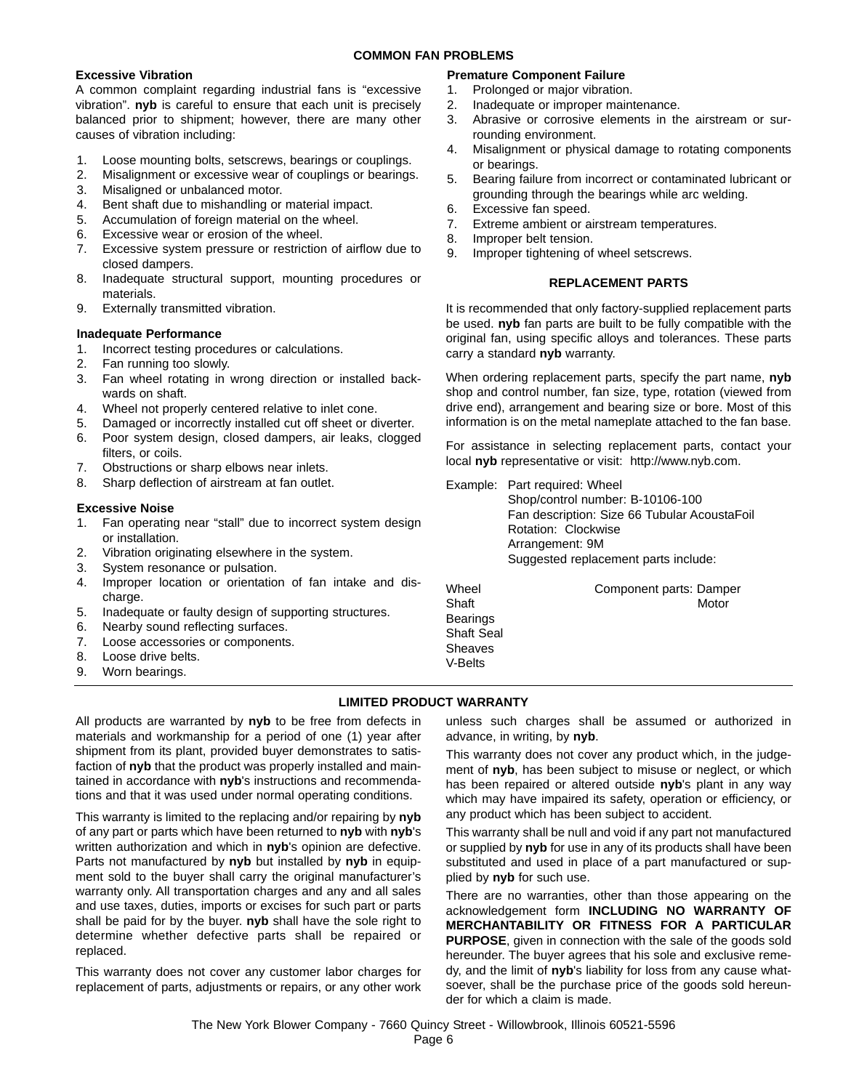# **Excessive Vibration**

A common complaint regarding industrial fans is "excessive vibration". **nyb** is careful to ensure that each unit is precisely balanced prior to shipment; however, there are many other causes of vibration including:

- 1. Loose mounting bolts, setscrews, bearings or couplings.
- 2. Misalignment or excessive wear of couplings or bearings.
- 3. Misaligned or unbalanced motor.
- 4. Bent shaft due to mishandling or material impact.
- 5. Accumulation of foreign material on the wheel.
- 6. Excessive wear or erosion of the wheel.
- 7. Excessive system pressure or restriction of airflow due to closed dampers.
- 8. Inadequate structural support, mounting procedures or materials.
- 9. Externally transmitted vibration.

#### **Inadequate Performance**

- 1. Incorrect testing procedures or calculations.
- 2. Fan running too slowly.
- 3. Fan wheel rotating in wrong direction or installed backwards on shaft.
- 4. Wheel not properly centered relative to inlet cone.
- 5. Damaged or incorrectly installed cut off sheet or diverter.
- 6. Poor system design, closed dampers, air leaks, clogged filters, or coils.
- 7. Obstructions or sharp elbows near inlets.
- 8. Sharp deflection of airstream at fan outlet.

#### **Excessive Noise**

- 1. Fan operating near "stall" due to incorrect system design or installation.
- 2. Vibration originating elsewhere in the system.
- 3. System resonance or pulsation.
- 4. Improper location or orientation of fan intake and discharge.
- 5. Inadequate or faulty design of supporting structures.
- 6. Nearby sound reflecting surfaces.
- 7. Loose accessories or components.
- 8. Loose drive belts.
- 9. Worn bearings.

# **Premature Component Failure**

- 1. Prolonged or major vibration.
- 2. Inadequate or improper maintenance.
- 3. Abrasive or corrosive elements in the airstream or surrounding environment.
- 4. Misalignment or physical damage to rotating components or bearings.
- 5. Bearing failure from incorrect or contaminated lubricant or grounding through the bearings while arc welding.
- 6. Excessive fan speed.
- 7. Extreme ambient or airstream temperatures.
- 8. Improper belt tension.
- 9. Improper tightening of wheel setscrews.

#### **REPLACEMENT PARTS**

It is recommended that only factory-supplied replacement parts be used. **nyb** fan parts are built to be fully compatible with the original fan, using specific alloys and tolerances. These parts carry a standard **nyb** warranty.

When ordering replacement parts, specify the part name, **nyb** shop and control number, fan size, type, rotation (viewed from drive end), arrangement and bearing size or bore. Most of this information is on the metal nameplate attached to the fan base.

For assistance in selecting replacement parts, contact your local **nyb** representative or visit: http://www.nyb.com.

Example: Part required: Wheel

Shop/control number: B-10106-100 Fan description: Size 66 Tubular AcoustaFoil Rotation: Clockwise Arrangement: 9M Suggested replacement parts include:

Wheel **Component parts: Damper** Shaft Motor Communication and Motor **Bearings** Shaft Seal **Sheaves** 

# **LIMITED PRODUCT WARRANTY**

V-Belts

All products are warranted by **nyb** to be free from defects in materials and workmanship for a period of one (1) year after shipment from its plant, provided buyer demonstrates to satisfaction of **nyb** that the product was properly installed and maintained in accordance with **nyb**'s instructions and recommendations and that it was used under normal operating conditions.

This warranty is limited to the replacing and/or repairing by **nyb** of any part or parts which have been returned to **nyb** with **nyb**'s written authorization and which in **nyb**'s opinion are defective. Parts not manufactured by **nyb** but installed by **nyb** in equipment sold to the buyer shall carry the original manufacturer's warranty only. All transportation charges and any and all sales and use taxes, duties, imports or excises for such part or parts shall be paid for by the buyer. **nyb** shall have the sole right to determine whether defective parts shall be repaired or replaced.

This warranty does not cover any customer labor charges for replacement of parts, adjustments or repairs, or any other work unless such charges shall be assumed or authorized in advance, in writing, by **nyb**.

This warranty does not cover any product which, in the judgement of **nyb**, has been subject to misuse or neglect, or which has been repaired or altered outside **nyb**'s plant in any way which may have impaired its safety, operation or efficiency, or any product which has been subject to accident.

This warranty shall be null and void if any part not manufactured or supplied by **nyb** for use in any of its products shall have been substituted and used in place of a part manufactured or supplied by **nyb** for such use.

There are no warranties, other than those appearing on the acknowledgement form **INCLUDING NO WARRANTY OF MERCHANTABILITY OR FITNESS FOR A PARTICULAR PURPOSE**, given in connection with the sale of the goods sold hereunder. The buyer agrees that his sole and exclusive remedy, and the limit of **nyb**'s liability for loss from any cause whatsoever, shall be the purchase price of the goods sold hereunder for which a claim is made.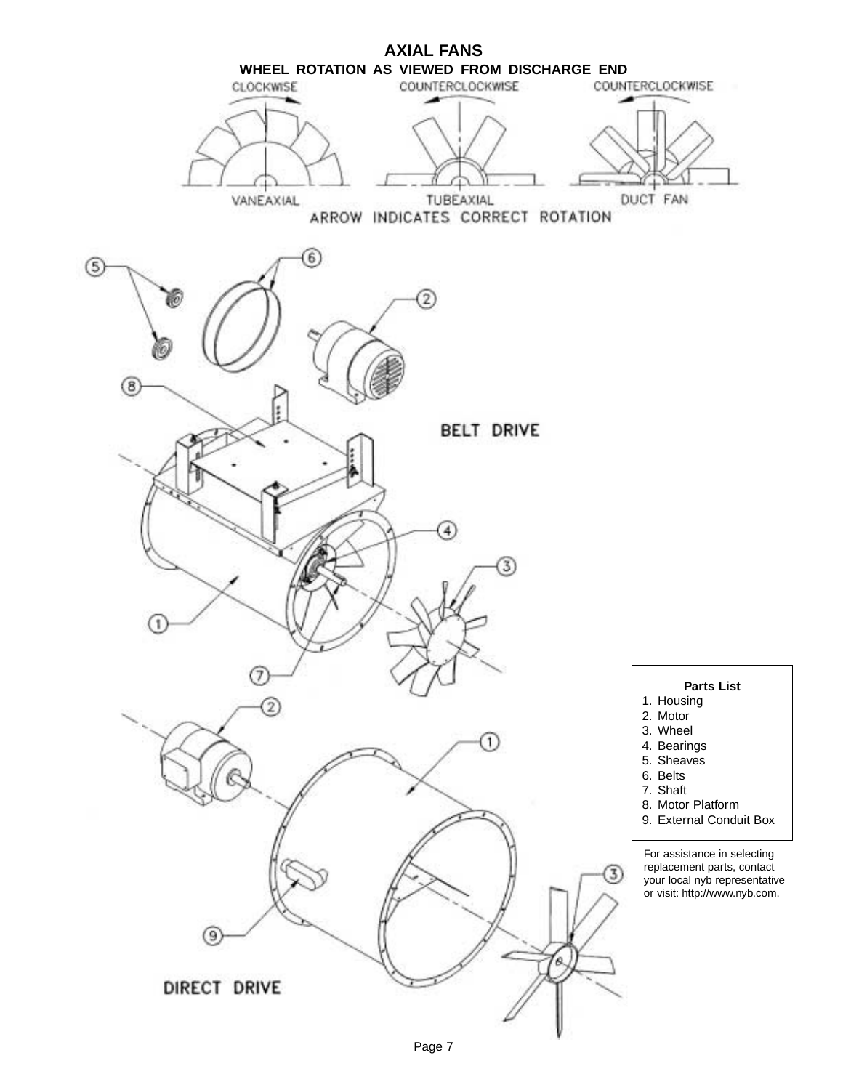